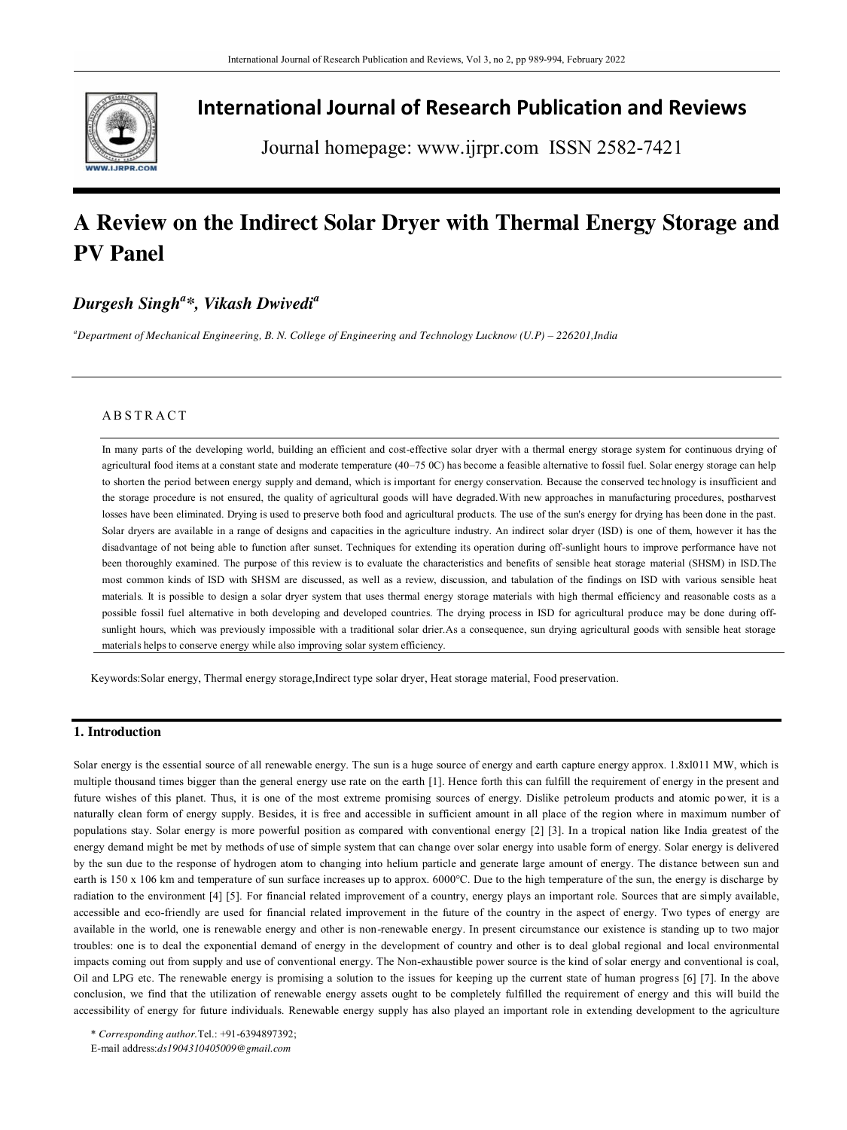

## **International Journal of Research Publication and Reviews**

Journal homepage: www.ijrpr.com ISSN 2582-7421

# **A Review on the Indirect Solar Dryer with Thermal Energy Storage and PV Panel**

## *Durgesh Singh<sup>a</sup> \*, Vikash Dwivedi<sup>a</sup>*

*<sup>a</sup>Department of Mechanical Engineering, B. N. College of Engineering and Technology Lucknow (U.P) – 226201,India* 

### **ABSTRACT**

In many parts of the developing world, building an efficient and cost-effective solar dryer with a thermal energy storage system for continuous drying of agricultural food items at a constant state and moderate temperature (40–75 0C) has become a feasible alternative to fossil fuel. Solar energy storage can help to shorten the period between energy supply and demand, which is important for energy conservation. Because the conserved technology is insufficient and the storage procedure is not ensured, the quality of agricultural goods will have degraded. With new approaches in manufacturing procedures, postharvest losses have been eliminated. Drying is used to preserve both food and agricultural products. The use of the sun's energy for drying has been done in the past. Solar dryers are available in a range of designs and capacities in the agriculture industry. An indirect solar dryer (ISD) is one of them, however it has the disadvantage of not being able to function after sunset. Techniques for extending its operation during off-sunlight hours to improve performance have not been thoroughly examined. The purpose of this review is to evaluate the characteristics and benefits of sensible heat storage material (SHSM) in ISD.The most common kinds of ISD with SHSM are discussed, as well as a review, discussion, and tabulation of the findings on ISD with various sensible heat materials. It is possible to design a solar dryer system that uses thermal energy storage materials with high thermal efficiency and reasonable costs as a possible fossil fuel alternative in both developing and developed countries. The drying process in ISD for agricultural produce may be done during offsunlight hours, which was previously impossible with a traditional solar drier.As a consequence, sun drying agricultural goods with sensible heat storage materials helps to conserve energy while also improving solar system efficiency.

Keywords:Solar energy, Thermal energy storage,Indirect type solar dryer, Heat storage material, Food preservation.

### **1. Introduction**

Solar energy is the essential source of all renewable energy. The sun is a huge source of energy and earth capture energy approx. 1.8xl011 MW, which is multiple thousand times bigger than the general energy use rate on the earth [1]. Hence forth this can fulfill the requirement of energy in the present and future wishes of this planet. Thus, it is one of the most extreme promising sources of energy. Dislike petroleum products and atomic power, it is a naturally clean form of energy supply. Besides, it is free and accessible in sufficient amount in all place of the region where in maximum number of populations stay. Solar energy is more powerful position as compared with conventional energy [2] [3]. In a tropical nation like India greatest of the energy demand might be met by methods of use of simple system that can change over solar energy into usable form of energy. Solar energy is delivered by the sun due to the response of hydrogen atom to changing into helium particle and generate large amount of energy. The distance between sun and earth is 150 x 106 km and temperature of sun surface increases up to approx. 6000°C. Due to the high temperature of the sun, the energy is discharge by radiation to the environment [4] [5]. For financial related improvement of a country, energy plays an important role. Sources that are simply available, accessible and eco-friendly are used for financial related improvement in the future of the country in the aspect of energy. Two types of energy are available in the world, one is renewable energy and other is non-renewable energy. In present circumstance our existence is standing up to two major troubles: one is to deal the exponential demand of energy in the development of country and other is to deal global regional and local environmental impacts coming out from supply and use of conventional energy. The Non-exhaustible power source is the kind of solar energy and conventional is coal, Oil and LPG etc. The renewable energy is promising a solution to the issues for keeping up the current state of human progress [6] [7]. In the above conclusion, we find that the utilization of renewable energy assets ought to be completely fulfilled the requirement of energy and this will build the accessibility of energy for future individuals. Renewable energy supply has also played an important role in extending development to the agriculture

\* *Corresponding author.*Tel.: +91-6394897392; E-mail address:*ds1904310405009@gmail.com*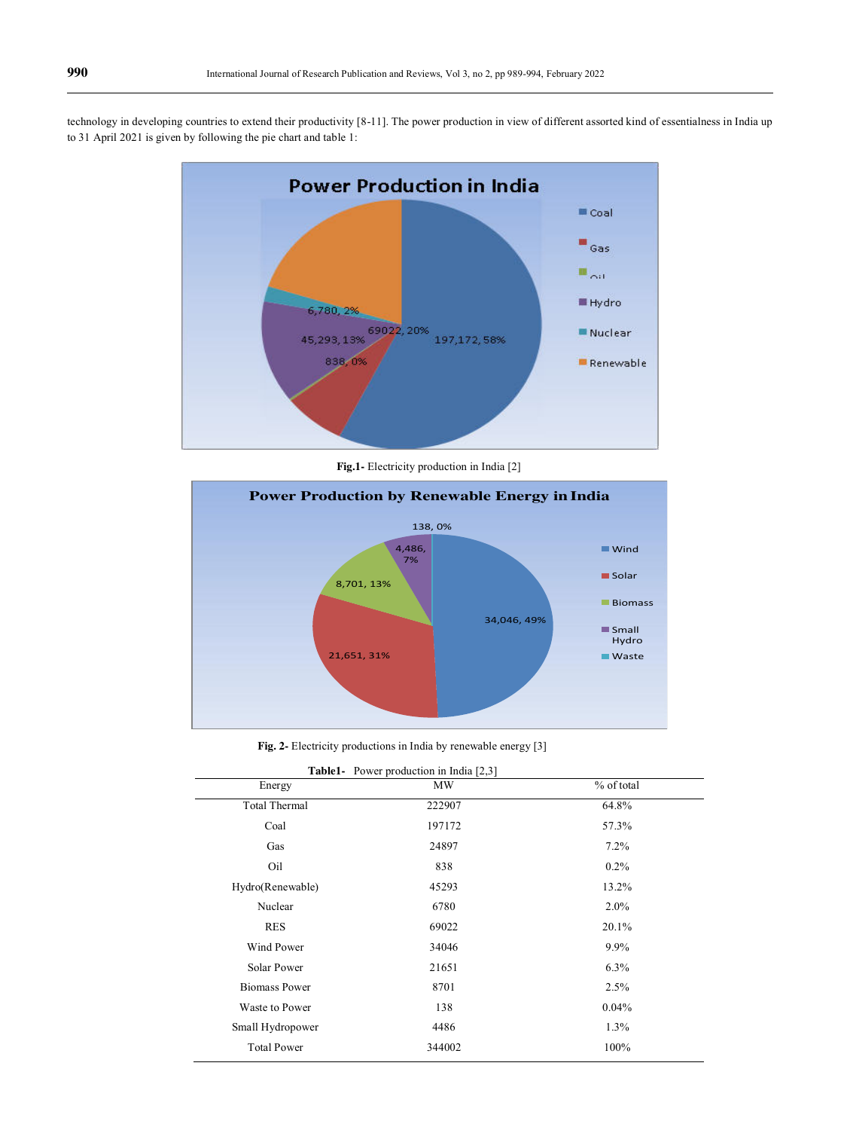technology in developing countries to extend their productivity [8-11]. The power production in view of different assorted kind of essentialness in India up to 31 April 2021 is given by following the pie chart and table 1:



**Fig.1-** Electricity production in India [2]



**Fig. 2-** Electricity productions in India by renewable energy [3]

|  | <b>Table1-</b> Power production in India [2,3] |  |  |
|--|------------------------------------------------|--|--|
|  |                                                |  |  |

| $1000$ production in manufactor |           |            |  |  |  |  |
|---------------------------------|-----------|------------|--|--|--|--|
| Energy                          | <b>MW</b> | % of total |  |  |  |  |
| <b>Total Thermal</b>            | 222907    | 64.8%      |  |  |  |  |
| Coal                            | 197172    | 57.3%      |  |  |  |  |
| Gas                             | 24897     | 7.2%       |  |  |  |  |
| Oil                             | 838       | $0.2\%$    |  |  |  |  |
| Hydro(Renewable)                | 45293     | 13.2%      |  |  |  |  |
| Nuclear                         | 6780      | $2.0\%$    |  |  |  |  |
| <b>RES</b>                      | 69022     | 20.1%      |  |  |  |  |
| Wind Power                      | 34046     | $9.9\%$    |  |  |  |  |
| Solar Power                     | 21651     | 6.3%       |  |  |  |  |
| <b>Biomass Power</b>            | 8701      | 2.5%       |  |  |  |  |
| Waste to Power                  | 138       | 0.04%      |  |  |  |  |
| Small Hydropower                | 4486      | 1.3%       |  |  |  |  |
| <b>Total Power</b>              | 344002    | 100%       |  |  |  |  |
|                                 |           |            |  |  |  |  |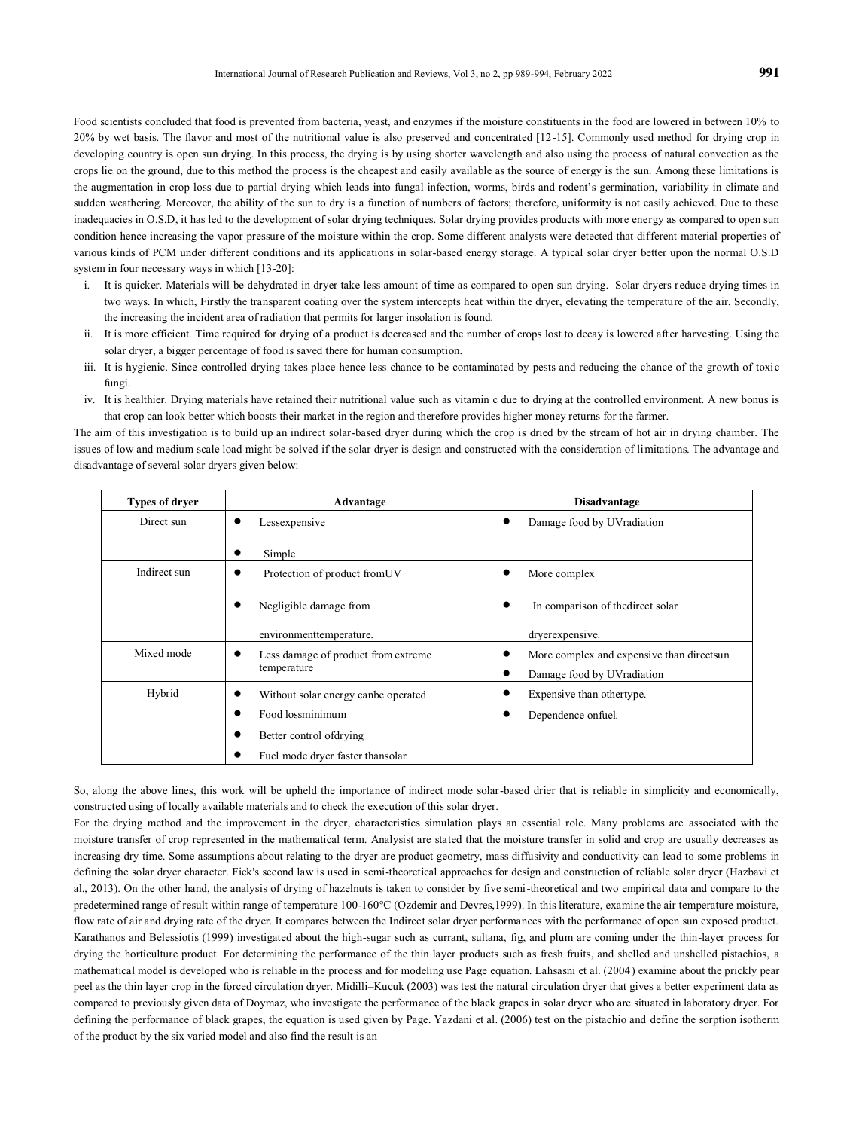Food scientists concluded that food is prevented from bacteria, yeast, and enzymes if the moisture constituents in the food are lowered in between 10% to 20% by wet basis. The flavor and most of the nutritional value is also preserved and concentrated [12-15]. Commonly used method for drying crop in developing country is open sun drying. In this process, the drying is by using shorter wavelength and also using the process of natural convection as the crops lie on the ground, due to this method the process is the cheapest and easily available as the source of energy is the sun. Among these limitations is the augmentation in crop loss due to partial drying which leads into fungal infection, worms, birds and rodent's germination, variability in climate and sudden weathering. Moreover, the ability of the sun to dry is a function of numbers of factors; therefore, uniformity is not easily achieved. Due to these inadequacies in O.S.D, it has led to the development of solar drying techniques. Solar drying provides products with more energy as compared to open sun condition hence increasing the vapor pressure of the moisture within the crop. Some different analysts were detected that different material properties of various kinds of PCM under different conditions and its applications in solar-based energy storage. A typical solar dryer better upon the normal O.S.D system in four necessary ways in which [13-20]:

- i. It is quicker. Materials will be dehydrated in dryer take less amount of time as compared to open sun drying. Solar dryers reduce drying times in two ways. In which, Firstly the transparent coating over the system intercepts heat within the dryer, elevating the temperature of the air. Secondly, the increasing the incident area of radiation that permits for larger insolation is found.
- ii. It is more efficient. Time required for drying of a product is decreased and the number of crops lost to decay is lowered after harvesting. Using the solar dryer, a bigger percentage of food is saved there for human consumption.
- iii. It is hygienic. Since controlled drying takes place hence less chance to be contaminated by pests and reducing the chance of the growth of toxic fungi.
- iv. It is healthier. Drying materials have retained their nutritional value such as vitamin c due to drying at the controlled environment. A new bonus is that crop can look better which boosts their market in the region and therefore provides higher money returns for the farmer.

The aim of this investigation is to build up an indirect solar-based dryer during which the crop is dried by the stream of hot air in drying chamber. The issues of low and medium scale load might be solved if the solar dryer is design and constructed with the consideration of limitations. The advantage and disadvantage of several solar dryers given below:

| Types of dryer | Advantage                           | <b>Disadvantage</b>                       |  |  |
|----------------|-------------------------------------|-------------------------------------------|--|--|
| Direct sun     | Lessexpensive                       | Damage food by UVradiation                |  |  |
|                | Simple<br>٠                         |                                           |  |  |
| Indirect sun   | Protection of product from UV<br>٠  | More complex                              |  |  |
|                | Negligible damage from              | In comparison of the direct solar         |  |  |
|                | environmenttemperature.             | dryerexpensive.                           |  |  |
| Mixed mode     | Less damage of product from extreme | More complex and expensive than directsun |  |  |
|                | temperature                         | Damage food by UVradiation                |  |  |
| Hybrid         | Without solar energy canbe operated | Expensive than othertype.                 |  |  |
|                | Food lossminimum                    | Dependence onfuel.                        |  |  |
|                | Better control of drying<br>٠       |                                           |  |  |
|                | Fuel mode dryer faster thansolar    |                                           |  |  |

So, along the above lines, this work will be upheld the importance of indirect mode solar-based drier that is reliable in simplicity and economically, constructed using of locally available materials and to check the execution of this solar dryer.

For the drying method and the improvement in the dryer, characteristics simulation plays an essential role. Many problems are associated with the moisture transfer of crop represented in the mathematical term. Analysist are stated that the moisture transfer in solid and crop are usually decreases as increasing dry time. Some assumptions about relating to the dryer are product geometry, mass diffusivity and conductivity can lead to some problems in defining the solar dryer character. Fick's second law is used in semi-theoretical approaches for design and construction of reliable solar dryer (Hazbavi et al., 2013). On the other hand, the analysis of drying of hazelnuts is taken to consider by five semi-theoretical and two empirical data and compare to the predetermined range of result within range of temperature 100-160°C (Ozdemir and Devres,1999). In this literature, examine the air temperature moisture, flow rate of air and drying rate of the dryer. It compares between the Indirect solar dryer performances with the performance of open sun exposed product. Karathanos and Belessiotis (1999) investigated about the high-sugar such as currant, sultana, fig, and plum are coming under the thin-layer process for drying the horticulture product. For determining the performance of the thin layer products such as fresh fruits, and shelled and unshelled pistachios, a mathematical model is developed who is reliable in the process and for modeling use Page equation. Lahsasni et al. (2004) examine about the prickly pear peel as the thin layer crop in the forced circulation dryer. Midilli–Kucuk (2003) was test the natural circulation dryer that gives a better experiment data as compared to previously given data of Doymaz, who investigate the performance of the black grapes in solar dryer who are situated in laboratory dryer. For defining the performance of black grapes, the equation is used given by Page. Yazdani et al. (2006) test on the pistachio and define the sorption isotherm of the product by the six varied model and also find the result is an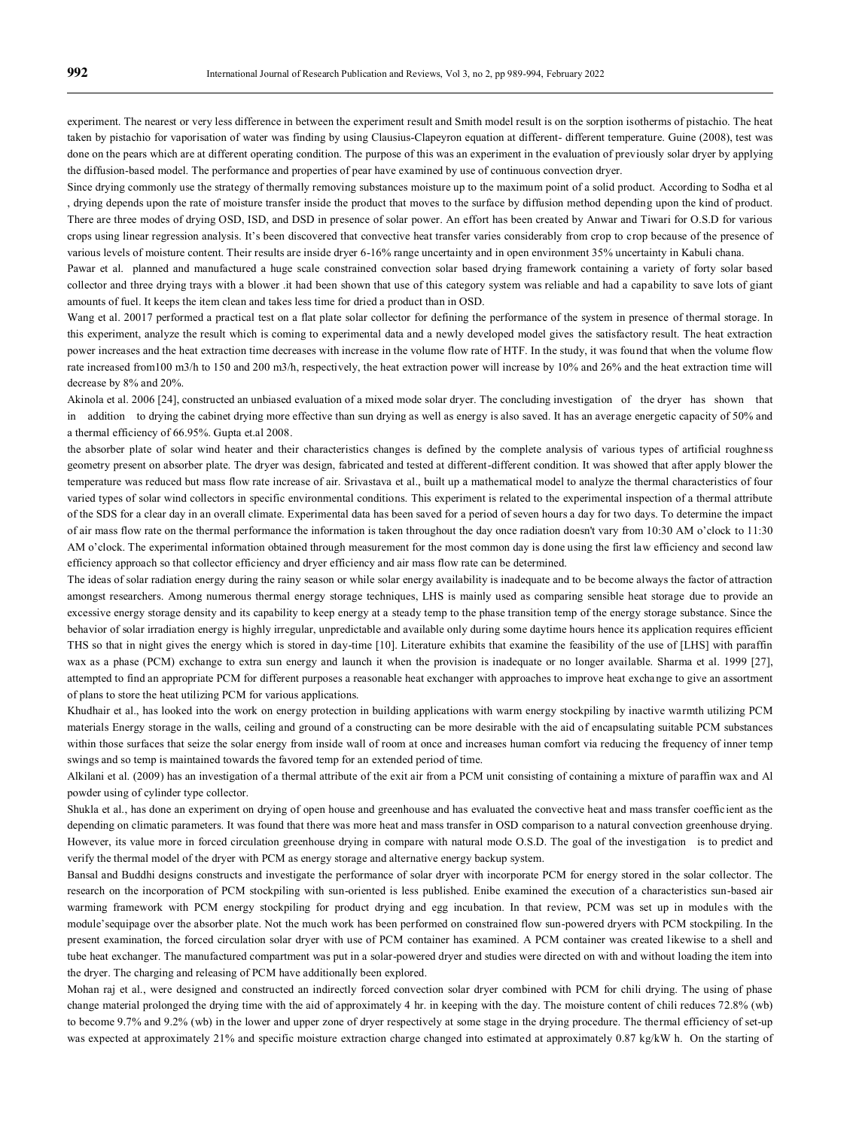experiment. The nearest or very less difference in between the experiment result and Smith model result is on the sorption isotherms of pistachio. The heat taken by pistachio for vaporisation of water was finding by using Clausius-Clapeyron equation at different- different temperature. Guine (2008), test was done on the pears which are at different operating condition. The purpose of this was an experiment in the evaluation of previously solar dryer by applying the diffusion-based model. The performance and properties of pear have examined by use of continuous convection dryer.

Since drying commonly use the strategy of thermally removing substances moisture up to the maximum point of a solid product. According to Sodha et al , drying depends upon the rate of moisture transfer inside the product that moves to the surface by diffusion method depending upon the kind of product. There are three modes of drying OSD, ISD, and DSD in presence of solar power. An effort has been created by Anwar and Tiwari for O.S.D for various crops using linear regression analysis. It's been discovered that convective heat transfer varies considerably from crop to crop because of the presence of various levels of moisture content. Their results are inside dryer 6-16% range uncertainty and in open environment 35% uncertainty in Kabuli chana.

Pawar et al. planned and manufactured a huge scale constrained convection solar based drying framework containing a variety of forty solar based collector and three drying trays with a blower .it had been shown that use of this category system was reliable and had a capability to save lots of giant amounts of fuel. It keeps the item clean and takes less time for dried a product than in OSD.

Wang et al. 20017 performed a practical test on a flat plate solar collector for defining the performance of the system in presence of thermal storage. In this experiment, analyze the result which is coming to experimental data and a newly developed model gives the satisfactory result. The heat extraction power increases and the heat extraction time decreases with increase in the volume flow rate of HTF. In the study, it was found that when the volume flow rate increased from100 m3/h to 150 and 200 m3/h, respectively, the heat extraction power will increase by 10% and 26% and the heat extraction time will decrease by 8% and 20%.

Akinola et al. 2006 [24], constructed an unbiased evaluation of a mixed mode solar dryer. The concluding investigation of the dryer has shown that in addition to drying the cabinet drying more effective than sun drying as well as energy is also saved. It has an average energetic capacity of 50% and a thermal efficiency of 66.95%. Gupta et.al 2008.

the absorber plate of solar wind heater and their characteristics changes is defined by the complete analysis of various types of artificial roughness geometry present on absorber plate. The dryer was design, fabricated and tested at different-different condition. It was showed that after apply blower the temperature was reduced but mass flow rate increase of air. Srivastava et al., built up a mathematical model to analyze the thermal characteristics of four varied types of solar wind collectors in specific environmental conditions. This experiment is related to the experimental inspection of a thermal attribute of the SDS for a clear day in an overall climate. Experimental data has been saved for a period of seven hours a day for two days. To determine the impact of air mass flow rate on the thermal performance the information is taken throughout the day once radiation doesn't vary from 10:30 AM o'clock to 11:30 AM o'clock. The experimental information obtained through measurement for the most common day is done using the first law efficiency and second law efficiency approach so that collector efficiency and dryer efficiency and air mass flow rate can be determined.

The ideas of solar radiation energy during the rainy season or while solar energy availability is inadequate and to be become always the factor of attraction amongst researchers. Among numerous thermal energy storage techniques, LHS is mainly used as comparing sensible heat storage due to provide an excessive energy storage density and its capability to keep energy at a steady temp to the phase transition temp of the energy storage substance. Since the behavior of solar irradiation energy is highly irregular, unpredictable and available only during some daytime hours hence its application requires efficient THS so that in night gives the energy which is stored in day-time [10]. Literature exhibits that examine the feasibility of the use of [LHS] with paraffin wax as a phase (PCM) exchange to extra sun energy and launch it when the provision is inadequate or no longer available. Sharma et al. 1999 [27], attempted to find an appropriate PCM for different purposes a reasonable heat exchanger with approaches to improve heat exchange to give an assortment of plans to store the heat utilizing PCM for various applications.

Khudhair et al., has looked into the work on energy protection in building applications with warm energy stockpiling by inactive warmth utilizing PCM materials Energy storage in the walls, ceiling and ground of a constructing can be more desirable with the aid of encapsulating suitable PCM substances within those surfaces that seize the solar energy from inside wall of room at once and increases human comfort via reducing the frequency of inner temp swings and so temp is maintained towards the favored temp for an extended period of time.

Alkilani et al. (2009) has an investigation of a thermal attribute of the exit air from a PCM unit consisting of containing a mixture of paraffin wax and Al powder using of cylinder type collector.

Shukla et al., has done an experiment on drying of open house and greenhouse and has evaluated the convective heat and mass transfer coefficient as the depending on climatic parameters. It was found that there was more heat and mass transfer in OSD comparison to a natural convection greenhouse drying. However, its value more in forced circulation greenhouse drying in compare with natural mode O.S.D. The goal of the investigation is to predict and verify the thermal model of the dryer with PCM as energy storage and alternative energy backup system.

Bansal and Buddhi designs constructs and investigate the performance of solar dryer with incorporate PCM for energy stored in the solar collector. The research on the incorporation of PCM stockpiling with sun-oriented is less published. Enibe examined the execution of a characteristics sun-based air warming framework with PCM energy stockpiling for product drying and egg incubation. In that review, PCM was set up in modules with the module'sequipage over the absorber plate. Not the much work has been performed on constrained flow sun-powered dryers with PCM stockpiling. In the present examination, the forced circulation solar dryer with use of PCM container has examined. A PCM container was created likewise to a shell and tube heat exchanger. The manufactured compartment was put in a solar-powered dryer and studies were directed on with and without loading the item into the dryer. The charging and releasing of PCM have additionally been explored.

Mohan raj et al., were designed and constructed an indirectly forced convection solar dryer combined with PCM for chili drying. The using of phase change material prolonged the drying time with the aid of approximately 4 hr. in keeping with the day. The moisture content of chili reduces 72.8% (wb) to become 9.7% and 9.2% (wb) in the lower and upper zone of dryer respectively at some stage in the drying procedure. The thermal efficiency of set-up was expected at approximately 21% and specific moisture extraction charge changed into estimated at approximately 0.87 kg/kW h. On the starting of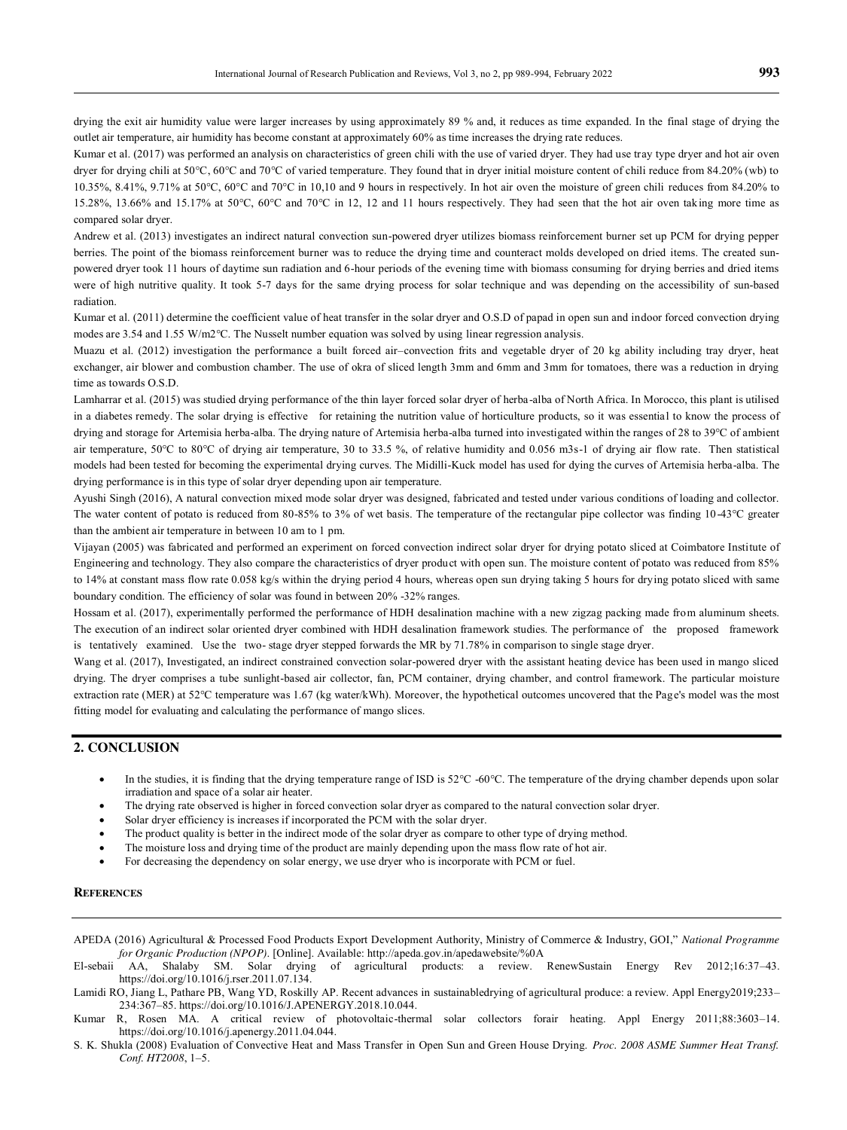drying the exit air humidity value were larger increases by using approximately 89 % and, it reduces as time expanded. In the final stage of drying the outlet air temperature, air humidity has become constant at approximately 60% as time increases the drying rate reduces.

Kumar et al. (2017) was performed an analysis on characteristics of green chili with the use of varied dryer. They had use tray type dryer and hot air oven dryer for drying chili at 50°C, 60°C and 70°C of varied temperature. They found that in dryer initial moisture content of chili reduce from 84.20% (wb) to 10.35%, 8.41%, 9.71% at 50°C, 60°C and 70°C in 10,10 and 9 hours in respectively. In hot air oven the moisture of green chili reduces from 84.20% to 15.28%, 13.66% and 15.17% at 50°C, 60°C and 70°C in 12, 12 and 11 hours respectively. They had seen that the hot air oven tak ing more time as compared solar dryer.

Andrew et al. (2013) investigates an indirect natural convection sun-powered dryer utilizes biomass reinforcement burner set up PCM for drying pepper berries. The point of the biomass reinforcement burner was to reduce the drying time and counteract molds developed on dried items. The created sunpowered dryer took 11 hours of daytime sun radiation and 6-hour periods of the evening time with biomass consuming for drying berries and dried items were of high nutritive quality. It took 5-7 days for the same drying process for solar technique and was depending on the accessibility of sun-based radiation.

Kumar et al. (2011) determine the coefficient value of heat transfer in the solar dryer and O.S.D of papad in open sun and indoor forced convection drying modes are 3.54 and 1.55 W/m2°C. The Nusselt number equation was solved by using linear regression analysis.

Muazu et al. (2012) investigation the performance a built forced air–convection frits and vegetable dryer of 20 kg ability including tray dryer, heat exchanger, air blower and combustion chamber. The use of okra of sliced length 3mm and 6mm and 3mm for tomatoes, there was a reduction in drying time as towards O.S.D.

Lamharrar et al. (2015) was studied drying performance of the thin layer forced solar dryer of herba-alba of North Africa. In Morocco, this plant is utilised in a diabetes remedy. The solar drying is effective for retaining the nutrition value of horticulture products, so it was essential to know the process of drying and storage for Artemisia herba-alba. The drying nature of Artemisia herba-alba turned into investigated within the ranges of 28 to 39°C of ambient air temperature, 50°C to 80°C of drying air temperature, 30 to 33.5 %, of relative humidity and 0.056 m3s-1 of drying air flow rate. Then statistical models had been tested for becoming the experimental drying curves. The Midilli-Kuck model has used for dying the curves of Artemisia herba-alba. The drying performance is in this type of solar dryer depending upon air temperature.

Ayushi Singh (2016), A natural convection mixed mode solar dryer was designed, fabricated and tested under various conditions of loading and collector. The water content of potato is reduced from 80-85% to 3% of wet basis. The temperature of the rectangular pipe collector was finding 10-43°C greater than the ambient air temperature in between 10 am to 1 pm.

Vijayan (2005) was fabricated and performed an experiment on forced convection indirect solar dryer for drying potato sliced at Coimbatore Institute of Engineering and technology. They also compare the characteristics of dryer product with open sun. The moisture content of potato was reduced from 85% to 14% at constant mass flow rate 0.058 kg/s within the drying period 4 hours, whereas open sun drying taking 5 hours for drying potato sliced with same boundary condition. The efficiency of solar was found in between 20% -32% ranges.

Hossam et al. (2017), experimentally performed the performance of HDH desalination machine with a new zigzag packing made from aluminum sheets. The execution of an indirect solar oriented dryer combined with HDH desalination framework studies. The performance of the proposed framework is tentatively examined. Use the two- stage dryer stepped forwards the MR by 71.78% in comparison to single stage dryer.

Wang et al. (2017), Investigated, an indirect constrained convection solar-powered dryer with the assistant heating device has been used in mango sliced drying. The dryer comprises a tube sunlight-based air collector, fan, PCM container, drying chamber, and control framework. The particular moisture extraction rate (MER) at 52°C temperature was 1.67 (kg water/kWh). Moreover, the hypothetical outcomes uncovered that the Page's model was the most fitting model for evaluating and calculating the performance of mango slices.

### **2. CONCLUSION**

- In the studies, it is finding that the drying temperature range of ISD is 52°C -60°C. The temperature of the drying chamber depends upon solar irradiation and space of a solar air heater.
- The drying rate observed is higher in forced convection solar dryer as compared to the natural convection solar dryer.
- Solar dryer efficiency is increases if incorporated the PCM with the solar dryer.
- The product quality is better in the indirect mode of the solar dryer as compare to other type of drying method.
- The moisture loss and drying time of the product are mainly depending upon the mass flow rate of hot air.
- For decreasing the dependency on solar energy, we use dryer who is incorporate with PCM or fuel.

#### **REFERENCES**

- APEDA (2016) Agricultural & Processed Food Products Export Development Authority, Ministry of Commerce & Industry, GOI," *National Programme for Organic Production (NPOP)*. [Online]. Available: http://apeda.gov.in/apedawebsite/%0A
- El-sebaii AA, Shalaby SM. Solar drying of agricultural products: a review. RenewSustain Energy Rev 2012;16:37–43. https://doi.org/10.1016/j.rser.2011.07.134.
- Lamidi RO, Jiang L, Pathare PB, Wang YD, Roskilly AP. Recent advances in sustainabledrying of agricultural produce: a review. Appl Energy2019;233– 234:367–85. https://doi.org/10.1016/J.APENERGY.2018.10.044.
- Kumar R, Rosen MA. A critical review of photovoltaic-thermal solar collectors forair heating. Appl Energy 2011;88:3603–14. https://doi.org/10.1016/j.apenergy.2011.04.044.
- S. K. Shukla (2008) Evaluation of Convective Heat and Mass Transfer in Open Sun and Green House Drying. *Proc. 2008 ASME Summer Heat Transf. Conf. HT2008*, 1–5.